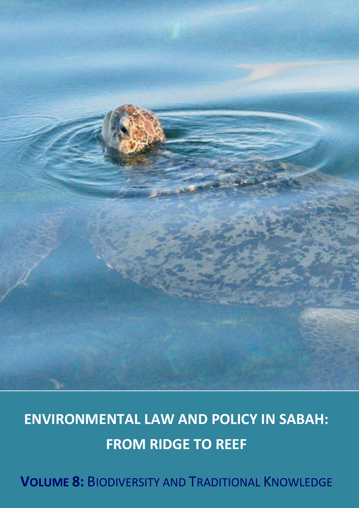

# **ENVIRONMENTAL LAW AND POLICY IN SABAH: FROM RIDGE TO REEF**

**VOLUME 8:** BIODIVERSITY AND TRADITIONAL KNOWLEDGE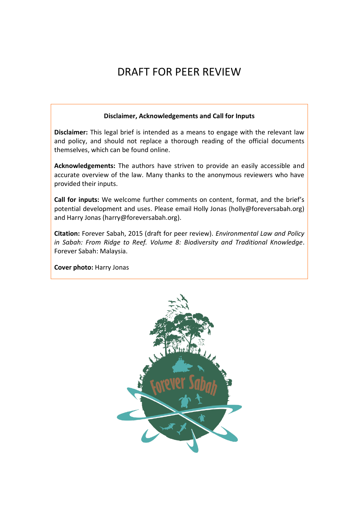## DRAFT FOR PEER REVIEW

#### **Disclaimer, Acknowledgements and Call for Inputs**

**Disclaimer:** This legal brief is intended as a means to engage with the relevant law and policy, and should not replace a thorough reading of the official documents themselves, which can be found online.

**Acknowledgements:** The authors have striven to provide an easily accessible and accurate overview of the law. Many thanks to the anonymous reviewers who have provided their inputs.

**Call for inputs:** We welcome further comments on content, format, and the brief's potential development and uses. Please email Holly Jonas (holly@foreversabah.org) and Harry Jonas (harry@foreversabah.org).

**Citation:** Forever Sabah, 2015 (draft for peer review). *Environmental Law and Policy in Sabah: From Ridge to Reef. Volume 8: Biodiversity and Traditional Knowledge*. Forever Sabah: Malaysia.

**Cover photo:** Harry Jonas

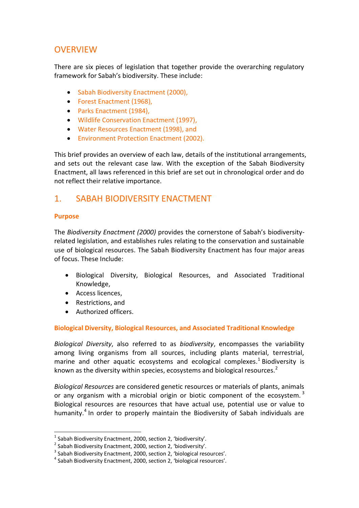## **OVERVIEW**

There are six pieces of legislation that together provide the overarching regulatory framework for Sabah's biodiversity. These include:

- Sabah Biodiversity Enactment (2000),
- Forest Enactment (1968),
- Parks Enactment (1984),
- Wildlife Conservation Enactment (1997),
- Water Resources Enactment (1998), and
- Environment Protection Enactment (2002).

This brief provides an overview of each law, details of the institutional arrangements, and sets out the relevant case law. With the exception of the Sabah Biodiversity Enactment, all laws referenced in this brief are set out in chronological order and do not reflect their relative importance.

## 1. SABAH BIODIVERSITY ENACTMENT

#### **Purpose**

l

The *Biodiversity Enactment (2000)* provides the cornerstone of Sabah's biodiversityrelated legislation, and establishes rules relating to the conservation and sustainable use of biological resources. The Sabah Biodiversity Enactment has four major areas of focus. These Include:

- Biological Diversity, Biological Resources, and Associated Traditional Knowledge,
- Access licences,
- Restrictions, and
- Authorized officers.

#### **Biological Diversity, Biological Resources, and Associated Traditional Knowledge**

*Biological Diversity*, also referred to as *biodiversity*, encompasses the variability among living organisms from all sources, including plants material, terrestrial, marine and other aquatic ecosystems and ecological complexes.<sup>1</sup> Biodiversity is known as the diversity within species, ecosystems and biological resources.<sup>2</sup>

*Biological Resources* are considered genetic resources or materials of plants, animals or any organism with a microbial origin or biotic component of the ecosystem.<sup>3</sup> Biological resources are resources that have actual use, potential use or value to humanity.<sup>4</sup> In order to properly maintain the Biodiversity of Sabah individuals are

 $^1$  Sabah Biodiversity Enactment, 2000, section 2, 'biodiversity'.

 $^2$  Sabah Biodiversity Enactment, 2000, section 2, 'biodiversity'.

 $^3$  Sabah Biodiversity Enactment, 2000, section 2, 'biological resources'.

<sup>&</sup>lt;sup>4</sup> Sabah Biodiversity Enactment, 2000, section 2, 'biological resources'.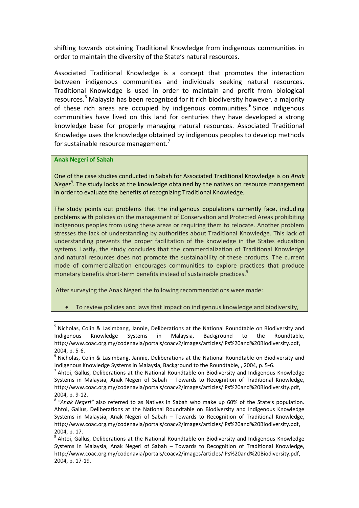shifting towards obtaining Traditional Knowledge from indigenous communities in order to maintain the diversity of the State's natural resources.

Associated Traditional Knowledge is a concept that promotes the interaction between indigenous communities and individuals seeking natural resources. Traditional Knowledge is used in order to maintain and profit from biological resources.<sup>5</sup> Malaysia has been recognized for it rich biodiversity however, a majority of these rich areas are occupied by indigenous communities.<sup>6</sup> Since indigenous communities have lived on this land for centuries they have developed a strong knowledge base for properly managing natural resources. Associated Traditional Knowledge uses the knowledge obtained by indigenous peoples to develop methods for sustainable resource management.<sup>7</sup>

#### **Anak Negeri of Sabah**

 $\overline{a}$ 

One of the case studies conducted in Sabah for Associated Traditional Knowledge is on *Anak Neger<sup>8</sup> .* The study looks at the knowledge obtained by the natives on resource management in order to evaluate the benefits of recognizing Traditional Knowledge.

The study points out problems that the indigenous populations currently face, including problems with policies on the management of Conservation and Protected Areas prohibiting indigenous peoples from using these areas or requiring them to relocate. Another problem stresses the lack of understanding by authorities about Traditional Knowledge. This lack of understanding prevents the proper facilitation of the knowledge in the States education systems. Lastly, the study concludes that the commercialization of Traditional Knowledge and natural resources does not promote the sustainability of these products. The current mode of commercialization encourages communities to explore practices that produce monetary benefits short-term benefits instead of sustainable practices.<sup>9</sup>

After surveying the Anak Negeri the following recommendations were made:

To review policies and laws that impact on indigenous knowledge and biodiversity,

<sup>&</sup>lt;sup>5</sup> Nicholas, Colin & Lasimbang, Jannie, Deliberations at the National Roundtable on Biodiversity and Indigenous Knowledge Systems in Malaysia, Background to the Roundtable, [http://www.coac.org.my/codenavia/portals/coacv2/images/articles/IPs%20and%20Biodiversity.pdf,](http://www.coac.org.my/codenavia/portals/coacv2/images/articles/IPs%20and%20Biodiversity.pdf) 2004, p. 5-6.

 $^6$  Nicholas, Colin & Lasimbang, Jannie, Deliberations at the National Roundtable on Biodiversity and Indigenous Knowledge Systems in Malaysia, Background to the Roundtable, , 2004, p. 5-6.

<sup>&</sup>lt;sup>7</sup> Ahtoi, Gallus, Deliberations at the National Roundtable on Biodiversity and Indigenous Knowledge Systems in Malaysia, Anak Negeri of Sabah – Towards to Recognition of Traditional Knowledge, [http://www.coac.org.my/codenavia/portals/coacv2/images/articles/IPs%20and%20Biodiversity.pdf,](http://www.coac.org.my/codenavia/portals/coacv2/images/articles/IPs%20and%20Biodiversity.pdf) 2004, p. 9-12.

<sup>8</sup> *"Anak Negeri"* also referred to as Natives in Sabah who make up 60% of the State's population. Ahtoi, Gallus, Deliberations at the National Roundtable on Biodiversity and Indigenous Knowledge Systems in Malaysia, Anak Negeri of Sabah – Towards to Recognition of Traditional Knowledge, [http://www.coac.org.my/codenavia/portals/coacv2/images/articles/IPs%20and%20Biodiversity.pdf,](http://www.coac.org.my/codenavia/portals/coacv2/images/articles/IPs%20and%20Biodiversity.pdf) 2004, p. 17.

<sup>&</sup>lt;sup>9</sup> Ahtoi, Gallus, Deliberations at the National Roundtable on Biodiversity and Indigenous Knowledge Systems in Malaysia, Anak Negeri of Sabah – Towards to Recognition of Traditional Knowledge, [http://www.coac.org.my/codenavia/portals/coacv2/images/articles/IPs%20and%20Biodiversity.pdf,](http://www.coac.org.my/codenavia/portals/coacv2/images/articles/IPs%20and%20Biodiversity.pdf) 2004, p. 17-19.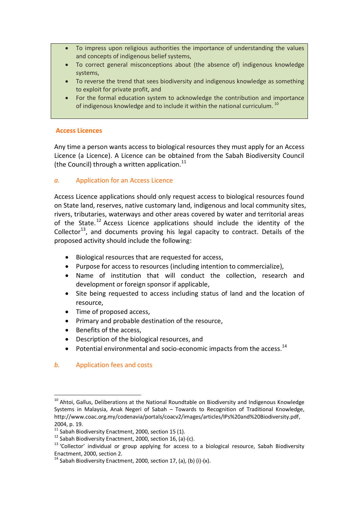- To impress upon religious authorities the importance of understanding the values and concepts of indigenous belief systems,
- To correct general misconceptions about (the absence of) indigenous knowledge systems,
- To reverse the trend that sees biodiversity and indigenous knowledge as something to exploit for private profit, and
- For the formal education system to acknowledge the contribution and importance of indigenous knowledge and to include it within the national curriculum.<sup>10</sup>

#### **Access Licences**

Any time a person wants access to biological resources they must apply for an Access Licence (a Licence). A Licence can be obtained from the Sabah Biodiversity Council (the Council) through a written application. $^{11}$ 

#### *a.* Application for an Access Licence

Access Licence applications should only request access to biological resources found on State land, reserves, native customary land, indigenous and local community sites, rivers, tributaries, waterways and other areas covered by water and territorial areas of the State.<sup>12</sup> Access Licence applications should include the identity of the Collector<sup>13</sup>, and documents proving his legal capacity to contract. Details of the proposed activity should include the following:

- Biological resources that are requested for access,
- Purpose for access to resources (including intention to commercialize),
- Name of institution that will conduct the collection, research and development or foreign sponsor if applicable,
- Site being requested to access including status of land and the location of resource,
- Time of proposed access,
- Primary and probable destination of the resource,
- Benefits of the access,
- Description of the biological resources, and
- $\bullet$  Potential environmental and socio-economic impacts from the access.<sup>14</sup>

#### *b.* Application fees and costs

 $\overline{a}$ <sup>10</sup> Ahtoi, Gallus, Deliberations at the National Roundtable on Biodiversity and Indigenous Knowledge Systems in Malaysia, Anak Negeri of Sabah – Towards to Recognition of Traditional Knowledge, [http://www.coac.org.my/codenavia/portals/coacv2/images/articles/IPs%20and%20Biodiversity.pdf,](http://www.coac.org.my/codenavia/portals/coacv2/images/articles/IPs%20and%20Biodiversity.pdf) 2004, p. 19.

 $11$  Sabah Biodiversity Enactment, 2000, section 15 (1).

 $12$  Sabah Biodiversity Enactment, 2000, section 16, (a)-(c).

<sup>&</sup>lt;sup>13</sup> 'Collector' individual or group applying for access to a biological resource, Sabah Biodiversity Enactment, 2000, section 2.

 $14$  Sabah Biodiversity Enactment, 2000, section 17, (a), (b) (i)-(x).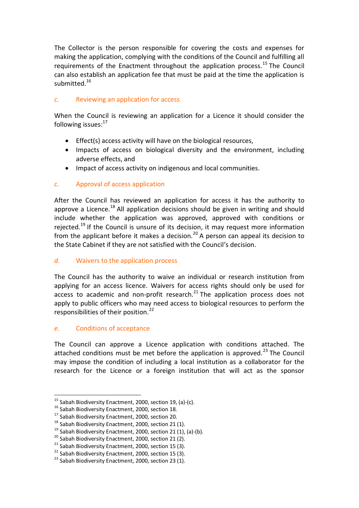The Collector is the person responsible for covering the costs and expenses for making the application, complying with the conditions of the Council and fulfilling all requirements of the Enactment throughout the application process.<sup>15</sup> The Council can also establish an application fee that must be paid at the time the application is submitted.<sup>16</sup>

#### *c.* Reviewing an application for access

When the Council is reviewing an application for a Licence it should consider the following issues:<sup>17</sup>

- Effect(s) access activity will have on the biological resources,
- Impacts of access on biological diversity and the environment, including adverse effects, and
- Impact of access activity on indigenous and local communities.

#### *c.* Approval of access application

After the Council has reviewed an application for access it has the authority to approve a Licence.<sup>18</sup> All application decisions should be given in writing and should include whether the application was approved, approved with conditions or rejected.<sup>19</sup> If the Council is unsure of its decision, it may request more information from the applicant before it makes a decision.<sup>20</sup> A person can appeal its decision to the State Cabinet if they are not satisfied with the Council's decision.

#### *d.* Waivers to the application process

The Council has the authority to waive an individual or research institution from applying for an access licence. Waivers for access rights should only be used for access to academic and non-profit research.<sup>21</sup> The application process does not apply to public officers who may need access to biological resources to perform the responsibilities of their position.<sup>22</sup>

#### *e.* Conditions of acceptance

 $\overline{a}$ 

The Council can approve a Licence application with conditions attached. The attached conditions must be met before the application is approved.<sup>23</sup> The Council may impose the condition of including a local institution as a collaborator for the research for the Licence or a foreign institution that will act as the sponsor

<sup>15</sup> Sabah Biodiversity Enactment, 2000, section 19, (a)-(c).

<sup>&</sup>lt;sup>16</sup> Sabah Biodiversity Enactment, 2000, section 18.

<sup>&</sup>lt;sup>17</sup> Sabah Biodiversity Enactment, 2000, section 20.

<sup>&</sup>lt;sup>18</sup> Sabah Biodiversity Enactment, 2000, section 21 (1).

<sup>&</sup>lt;sup>19</sup> Sabah Biodiversity Enactment, 2000, section 21 (1), (a)-(b).

<sup>&</sup>lt;sup>20</sup> Sabah Biodiversity Enactment, 2000, section 21 (2).

 $21$  Sabah Biodiversity Enactment, 2000, section 15 (3).

 $22$  Sabah Biodiversity Enactment, 2000, section 15 (3).

 $23$  Sabah Biodiversity Enactment, 2000, section 23 (1).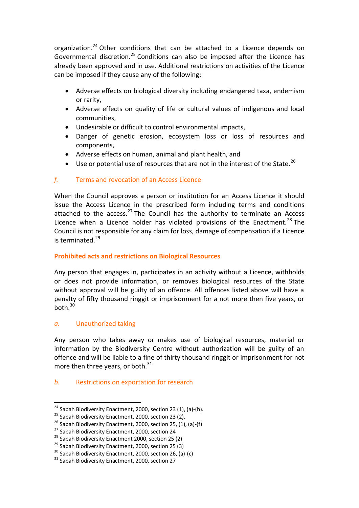organization.<sup>24</sup> Other conditions that can be attached to a Licence depends on Governmental discretion.<sup>25</sup> Conditions can also be imposed after the Licence has already been approved and in use. Additional restrictions on activities of the Licence can be imposed if they cause any of the following:

- Adverse effects on biological diversity including endangered taxa, endemism or rarity,
- Adverse effects on quality of life or cultural values of indigenous and local communities,
- Undesirable or difficult to control environmental impacts,
- Danger of genetic erosion, ecosystem loss or loss of resources and components,
- Adverse effects on human, animal and plant health, and
- Use or potential use of resources that are not in the interest of the State.<sup>26</sup>

#### *f.* Terms and revocation of an Access Licence

When the Council approves a person or institution for an Access Licence it should issue the Access Licence in the prescribed form including terms and conditions attached to the  $access.^{27}$  The Council has the authority to terminate an Access Licence when a Licence holder has violated provisions of the Enactment.<sup>28</sup> The Council is not responsible for any claim for loss, damage of compensation if a Licence is terminated.<sup>29</sup>

#### **Prohibited acts and restrictions on Biological Resources**

Any person that engages in, participates in an activity without a Licence, withholds or does not provide information, or removes biological resources of the State without approval will be guilty of an offence. All offences listed above will have a penalty of fifty thousand ringgit or imprisonment for a not more then five years, or  $b$ oth. $30$ 

#### *a.* Unauthorized taking

l

Any person who takes away or makes use of biological resources, material or information by the Biodiversity Centre without authorization will be guilty of an offence and will be liable to a fine of thirty thousand ringgit or imprisonment for not more then three years, or both. $31$ 

#### *b.* Restrictions on exportation for research

<sup>&</sup>lt;sup>24</sup> Sabah Biodiversity Enactment, 2000, section 23 (1), (a)-(b).

<sup>&</sup>lt;sup>25</sup> Sabah Biodiversity Enactment, 2000, section 23 (2).

 $26$  Sabah Biodiversity Enactment, 2000, section 25, (1), (a)-(f)

<sup>&</sup>lt;sup>27</sup> Sabah Biodiversity Enactment, 2000, section 24

<sup>&</sup>lt;sup>28</sup> Sabah Biodiversity Enactment 2000, section 25 (2)

<sup>&</sup>lt;sup>29</sup> Sabah Biodiversity Enactment, 2000, section 25 (3)

 $30$  Sabah Biodiversity Enactment, 2000, section 26, (a)-(c)

<sup>&</sup>lt;sup>31</sup> Sabah Biodiversity Enactment, 2000, section 27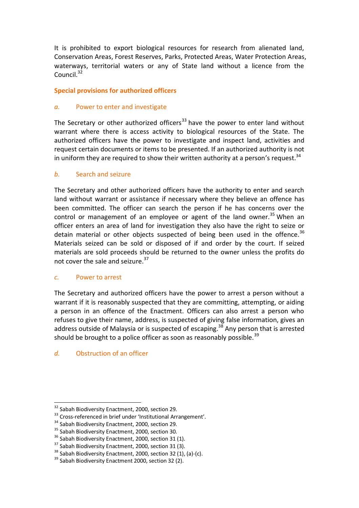It is prohibited to export biological resources for research from alienated land, Conservation Areas, Forest Reserves, Parks, Protected Areas, Water Protection Areas, waterways, territorial waters or any of State land without a licence from the Council. $32$ 

#### **Special provisions for authorized officers**

#### *a.* Power to enter and investigate

The Secretary or other authorized officers<sup>33</sup> have the power to enter land without warrant where there is access activity to biological resources of the State. The authorized officers have the power to investigate and inspect land, activities and request certain documents or items to be presented. If an authorized authority is not in uniform they are required to show their written authority at a person's request.<sup>34</sup>

#### *b.* Search and seizure

The Secretary and other authorized officers have the authority to enter and search land without warrant or assistance if necessary where they believe an offence has been committed. The officer can search the person if he has concerns over the control or management of an employee or agent of the land owner.<sup>35</sup> When an officer enters an area of land for investigation they also have the right to seize or detain material or other objects suspected of being been used in the offence.<sup>36</sup> Materials seized can be sold or disposed of if and order by the court. If seized materials are sold proceeds should be returned to the owner unless the profits do not cover the sale and seizure.<sup>37</sup>

#### *c.* Power to arrest

The Secretary and authorized officers have the power to arrest a person without a warrant if it is reasonably suspected that they are committing, attempting, or aiding a person in an offence of the Enactment. Officers can also arrest a person who refuses to give their name, address, is suspected of giving false information, gives an address outside of Malaysia or is suspected of escaping.<sup>38</sup> Any person that is arrested should be brought to a police officer as soon as reasonably possible.<sup>39</sup>

#### *d.* Obstruction of an officer

l

<sup>&</sup>lt;sup>32</sup> Sabah Biodiversity Enactment, 2000, section 29.

<sup>&</sup>lt;sup>33</sup> Cross-referenced in brief under 'Institutional Arrangement'.

<sup>34</sup> Sabah Biodiversity Enactment, 2000, section 29.

<sup>&</sup>lt;sup>35</sup> Sabah Biodiversity Enactment, 2000, section 30.

<sup>&</sup>lt;sup>36</sup> Sabah Biodiversity Enactment, 2000, section 31 (1).

<sup>&</sup>lt;sup>37</sup> Sabah Biodiversity Enactment, 2000, section 31 (3).

 $38$  Sabah Biodiversity Enactment, 2000, section 32 (1), (a)-(c).

 $39$  Sabah Biodiversity Enactment 2000, section 32 (2).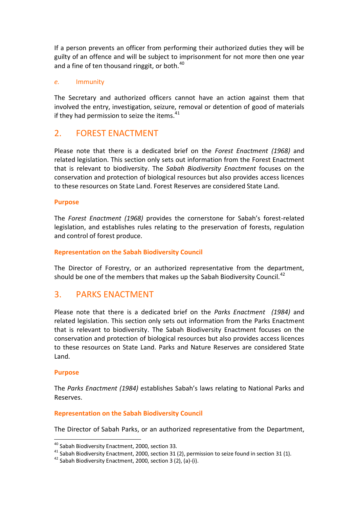If a person prevents an officer from performing their authorized duties they will be guilty of an offence and will be subject to imprisonment for not more then one year and a fine of ten thousand ringgit, or both. $40$ 

#### *e.* Immunity

The Secretary and authorized officers cannot have an action against them that involved the entry, investigation, seizure, removal or detention of good of materials if they had permission to seize the items. $^{41}$ 

## 2. FOREST ENACTMENT

Please note that there is a dedicated brief on the *Forest Enactment (1968)* and related legislation. This section only sets out information from the Forest Enactment that is relevant to biodiversity. The *Sabah Biodiversity Enactment* focuses on the conservation and protection of biological resources but also provides access licences to these resources on State Land. Forest Reserves are considered State Land.

#### **Purpose**

The *Forest Enactment (1968)* provides the cornerstone for Sabah's forest-related legislation, and establishes rules relating to the preservation of forests, regulation and control of forest produce.

#### **Representation on the Sabah Biodiversity Council**

The Director of Forestry, or an authorized representative from the department, should be one of the members that makes up the Sabah Biodiversity Council.<sup>42</sup>

## 3. PARKS ENACTMENT

Please note that there is a dedicated brief on the *Parks Enactment (1984)* and related legislation. This section only sets out information from the Parks Enactment that is relevant to biodiversity. The Sabah Biodiversity Enactment focuses on the conservation and protection of biological resources but also provides access licences to these resources on State Land. Parks and Nature Reserves are considered State Land.

#### **Purpose**

 $\overline{a}$ 

The *Parks Enactment (1984)* establishes Sabah's laws relating to National Parks and Reserves.

#### **Representation on the Sabah Biodiversity Council**

The Director of Sabah Parks, or an authorized representative from the Department,

<sup>&</sup>lt;sup>40</sup> Sabah Biodiversity Enactment, 2000, section 33.

 $41$  Sabah Biodiversity Enactment, 2000, section 31 (2), permission to seize found in section 31 (1).

 $42$  Sabah Biodiversity Enactment, 2000, section 3 (2), (a)-(i).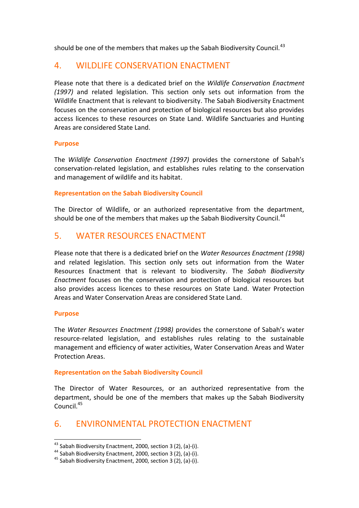should be one of the members that makes up the Sabah Biodiversity Council.<sup>43</sup>

## 4. WILDLIFE CONSERVATION ENACTMENT

Please note that there is a dedicated brief on the *Wildlife Conservation Enactment (1997)* and related legislation. This section only sets out information from the Wildlife Enactment that is relevant to biodiversity. The Sabah Biodiversity Enactment focuses on the conservation and protection of biological resources but also provides access licences to these resources on State Land. Wildlife Sanctuaries and Hunting Areas are considered State Land.

#### **Purpose**

The *Wildlife Conservation Enactment (1997)* provides the cornerstone of Sabah's conservation-related legislation, and establishes rules relating to the conservation and management of wildlife and its habitat.

#### **Representation on the Sabah Biodiversity Council**

The Director of Wildlife, or an authorized representative from the department, should be one of the members that makes up the Sabah Biodiversity Council.<sup>44</sup>

## 5. WATER RESOURCES ENACTMENT

Please note that there is a dedicated brief on the *Water Resources Enactment (1998)* and related legislation. This section only sets out information from the Water Resources Enactment that is relevant to biodiversity. The *Sabah Biodiversity Enactment* focuses on the conservation and protection of biological resources but also provides access licences to these resources on State Land. Water Protection Areas and Water Conservation Areas are considered State Land.

#### **Purpose**

 $\overline{a}$ 

The *Water Resources Enactment (1998)* provides the cornerstone of Sabah's water resource-related legislation, and establishes rules relating to the sustainable management and efficiency of water activities, Water Conservation Areas and Water Protection Areas.

#### **Representation on the Sabah Biodiversity Council**

The Director of Water Resources, or an authorized representative from the department, should be one of the members that makes up the Sabah Biodiversity Council.<sup>45</sup>

## 6. ENVIRONMENTAL PROTECTION ENACTMENT

 $43$  Sabah Biodiversity Enactment, 2000, section 3 (2), (a)-(i).

<sup>44</sup> Sabah Biodiversity Enactment, 2000, section 3 (2), (a)-(i).

<sup>45</sup> Sabah Biodiversity Enactment, 2000, section 3 (2), (a)-(i).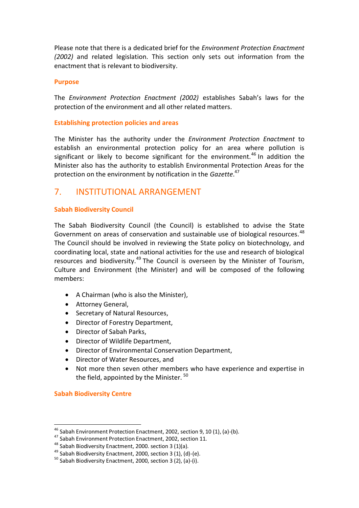Please note that there is a dedicated brief for the *Environment Protection Enactment (2002)* and related legislation. This section only sets out information from the enactment that is relevant to biodiversity.

#### **Purpose**

The *Environment Protection Enactment (2002)* establishes Sabah's laws for the protection of the environment and all other related matters.

#### **Establishing protection policies and areas**

The Minister has the authority under the *Environment Protection Enactment* to establish an environmental protection policy for an area where pollution is significant or likely to become significant for the environment.<sup>46</sup> In addition the Minister also has the authority to establish Environmental Protection Areas for the protection on the environment by notification in the *Gazette*. 47

## 7. INSTITUTIONAL ARRANGEMENT

#### **Sabah Biodiversity Council**

The Sabah Biodiversity Council (the Council) is established to advise the State Government on areas of conservation and sustainable use of biological resources.<sup>48</sup> The Council should be involved in reviewing the State policy on biotechnology, and coordinating local, state and national activities for the use and research of biological resources and biodiversity.<sup>49</sup> The Council is overseen by the Minister of Tourism, Culture and Environment (the Minister) and will be composed of the following members:

- A Chairman (who is also the Minister),
- Attorney General,
- Secretary of Natural Resources,
- Director of Forestry Department,
- Director of Sabah Parks,
- Director of Wildlife Department,
- Director of Environmental Conservation Department,
- Director of Water Resources, and
- Not more then seven other members who have experience and expertise in the field, appointed by the Minister.<sup>50</sup>

#### **Sabah Biodiversity Centre**

 $\overline{a}$ 

 $46$  Sabah Environment Protection Enactment, 2002, section 9, 10 (1), (a)-(b).

<sup>47</sup> Sabah Environment Protection Enactment, 2002, section 11.

 $48$  Sabah Biodiversity Enactment, 2000. section 3 (1)(a).

 $49$  Sabah Biodiversity Enactment, 2000, section 3 (1), (d)-(e).

 $50$  Sabah Biodiversity Enactment, 2000, section 3 (2), (a)-(i).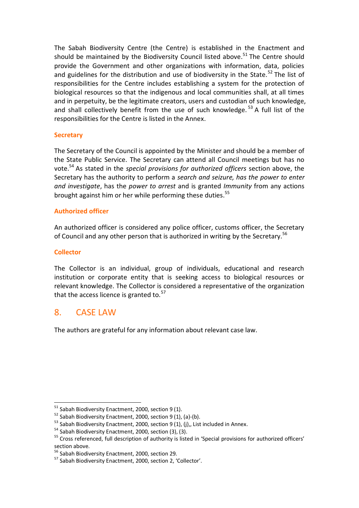The Sabah Biodiversity Centre (the Centre) is established in the Enactment and should be maintained by the Biodiversity Council listed above.<sup>51</sup> The Centre should provide the Government and other organizations with information, data, policies and guidelines for the distribution and use of biodiversity in the State.<sup>52</sup> The list of responsibilities for the Centre includes establishing a system for the protection of biological resources so that the indigenous and local communities shall, at all times and in perpetuity, be the legitimate creators, users and custodian of such knowledge, and shall collectively benefit from the use of such knowledge.  $53$  A full list of the responsibilities for the Centre is listed in the Annex.

#### **Secretary**

The Secretary of the Council is appointed by the Minister and should be a member of the State Public Service. The Secretary can attend all Council meetings but has no vote.<sup>54</sup> As stated in the *special provisions for authorized officers* section above, the Secretary has the authority to perform a *search and seizure, has the power to enter and investigate*, has the *power to arrest* and is granted *Immunity* from any actions brought against him or her while performing these duties.<sup>55</sup>

#### **Authorized officer**

An authorized officer is considered any police officer, customs officer, the Secretary of Council and any other person that is authorized in writing by the Secretary.<sup>56</sup>

#### **Collector**

l

The Collector is an individual, group of individuals, educational and research institution or corporate entity that is seeking access to biological resources or relevant knowledge. The Collector is considered a representative of the organization that the access licence is granted to. $57$ 

## 8. CASE LAW

The authors are grateful for any information about relevant case law.

 $51$  Sabah Biodiversity Enactment, 2000, section 9 (1).

 $52$  Sabah Biodiversity Enactment, 2000, section 9 (1), (a)-(b).

 $53$  Sabah Biodiversity Enactment, 2000, section 9 (1), (j),, List included in Annex.

 $54$  Sabah Biodiversity Enactment, 2000, section (3), (3).

<sup>&</sup>lt;sup>55</sup> Cross referenced, full description of authority is listed in 'Special provisions for authorized officers' section above.

<sup>56</sup> Sabah Biodiversity Enactment, 2000, section 29.

<sup>57</sup> Sabah Biodiversity Enactment, 2000, section 2, 'Collector'.